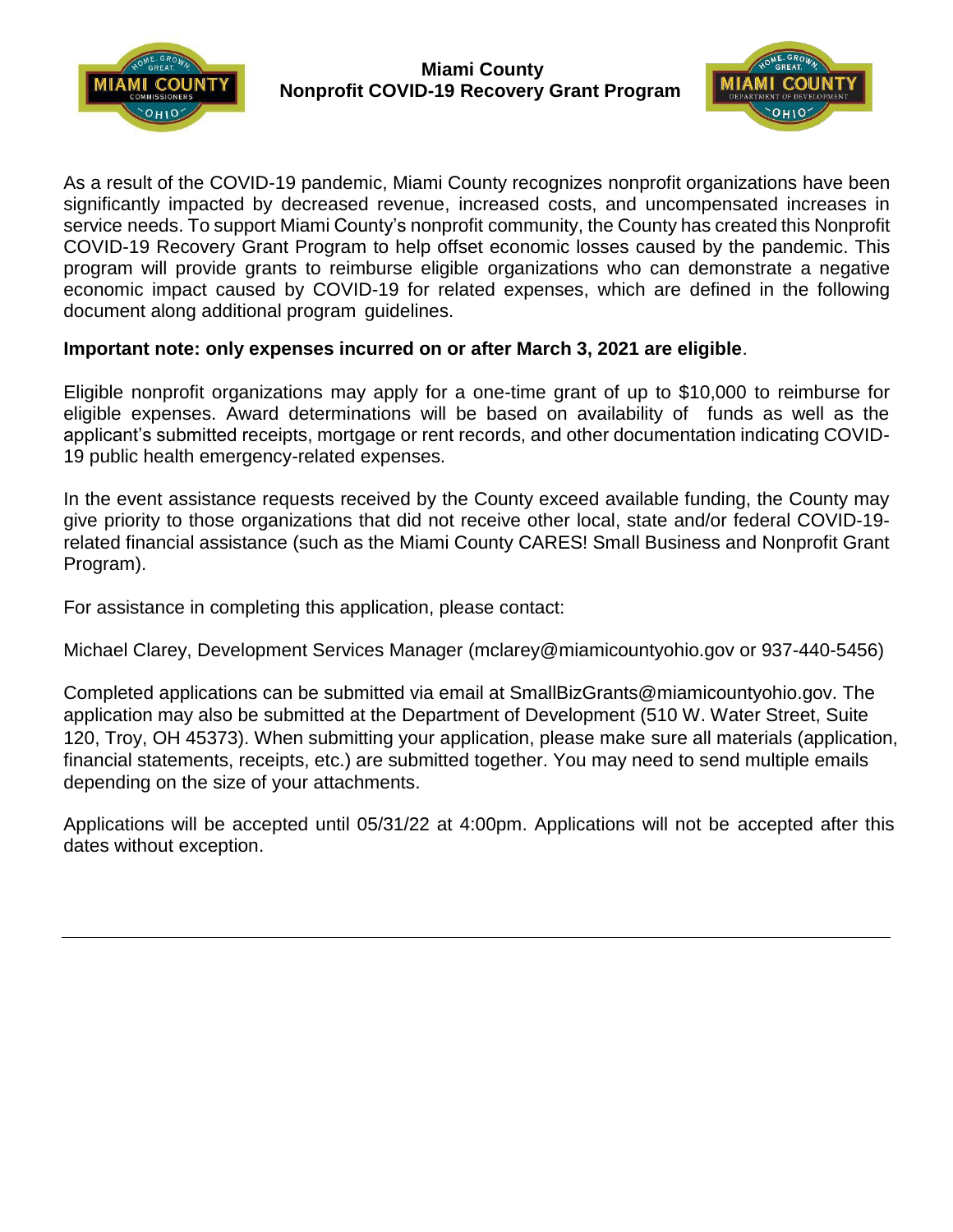



As a result of the COVID-19 pandemic, Miami County recognizes nonprofit organizations have been significantly impacted by decreased revenue, increased costs, and uncompensated increases in service needs. To support Miami County's nonprofit community, the County has created this Nonprofit COVID-19 Recovery Grant Program to help offset economic losses caused by the pandemic. This program will provide grants to reimburse eligible organizations who can demonstrate a negative economic impact caused by COVID-19 for related expenses, which are defined in the following document along additional program guidelines.

### **Important note: only expenses incurred on or after March 3, 2021 are eligible**.

Eligible nonprofit organizations may apply for a one-time grant of up to \$10,000 to reimburse for eligible expenses. Award determinations will be based on availability of funds as well as the applicant's submitted receipts, mortgage or rent records, and other documentation indicating COVID-19 public health emergency-related expenses.

In the event assistance requests received by the County exceed available funding, the County may give priority to those organizations that did not receive other local, state and/or federal COVID-19 related financial assistance (such as the Miami County CARES! Small Business and Nonprofit Grant Program).

For assistance in completing this application, please contact:

Michael Clarey, Development Services Manager [\(mclarey@miamicountyohio.gov o](mailto:(mclarey@miamicountyohio.gov)r 937-440-5456)

[Completed applications can be submitted via email at SmallBizGrants@miamicountyohio.gov. The](mailto:MiamiCoSmallBizGrant@miamicountyohio.gov)  [application may also be submitted at the Department of Development \(510 W. Water Street, Suite](mailto:MiamiCoSmallBizGrant@miamicountyohio.gov)  [120, Troy, OH 45373\). When submitting your application, please make sure all materials \(application,](mailto:MiamiCoSmallBizGrant@miamicountyohio.gov) financial statements, receipts, etc.) are submitted together. You may need to send multiple emails depending on the size of your attachments.

Applications will be accepted until 05/31/22 at 4:00pm. Applications will not be accepted after this dates without exception.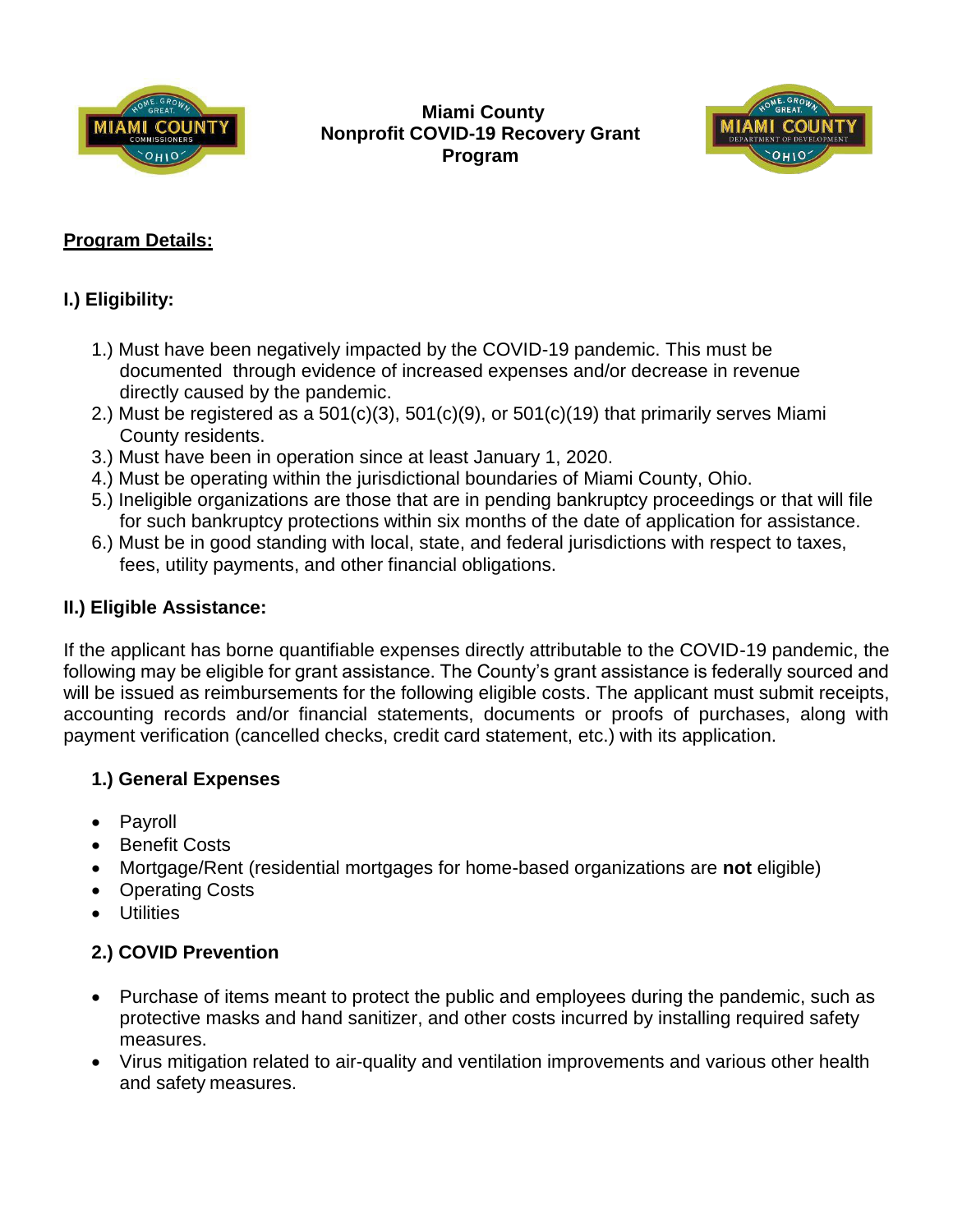

**Miami County Nonprofit COVID-19 Recovery Grant Program**



# **Program Details:**

# **I.) Eligibility:**

- 1.) Must have been negatively impacted by the COVID-19 pandemic. This must be documented through evidence of increased expenses and/or decrease in revenue directly caused by the pandemic.
- 2.) Must be registered as a  $501(c)(3)$ ,  $501(c)(9)$ , or  $501(c)(19)$  that primarily serves Miami County residents.
- 3.) Must have been in operation since at least January 1, 2020.
- 4.) Must be operating within the jurisdictional boundaries of Miami County, Ohio.
- 5.) Ineligible organizations are those that are in pending bankruptcy proceedings or that will file for such bankruptcy protections within six months of the date of application for assistance.
- 6.) Must be in good standing with local, state, and federal jurisdictions with respect to taxes, fees, utility payments, and other financial obligations.

## **II.) Eligible Assistance:**

If the applicant has borne quantifiable expenses directly attributable to the COVID-19 pandemic, the following may be eligible for grant assistance. The County's grant assistance is federally sourced and will be issued as reimbursements for the following eligible costs. The applicant must submit receipts, accounting records and/or financial statements, documents or proofs of purchases, along with payment verification (cancelled checks, credit card statement, etc.) with its application.

## **1.) General Expenses**

- Payroll
- Benefit Costs
- Mortgage/Rent (residential mortgages for home-based organizations are **not** eligible)
- Operating Costs
- Utilities

# **2.) COVID Prevention**

- Purchase of items meant to protect the public and employees during the pandemic, such as protective masks and hand sanitizer, and other costs incurred by installing required safety measures.
- Virus mitigation related to air-quality and ventilation improvements and various other health and safety measures.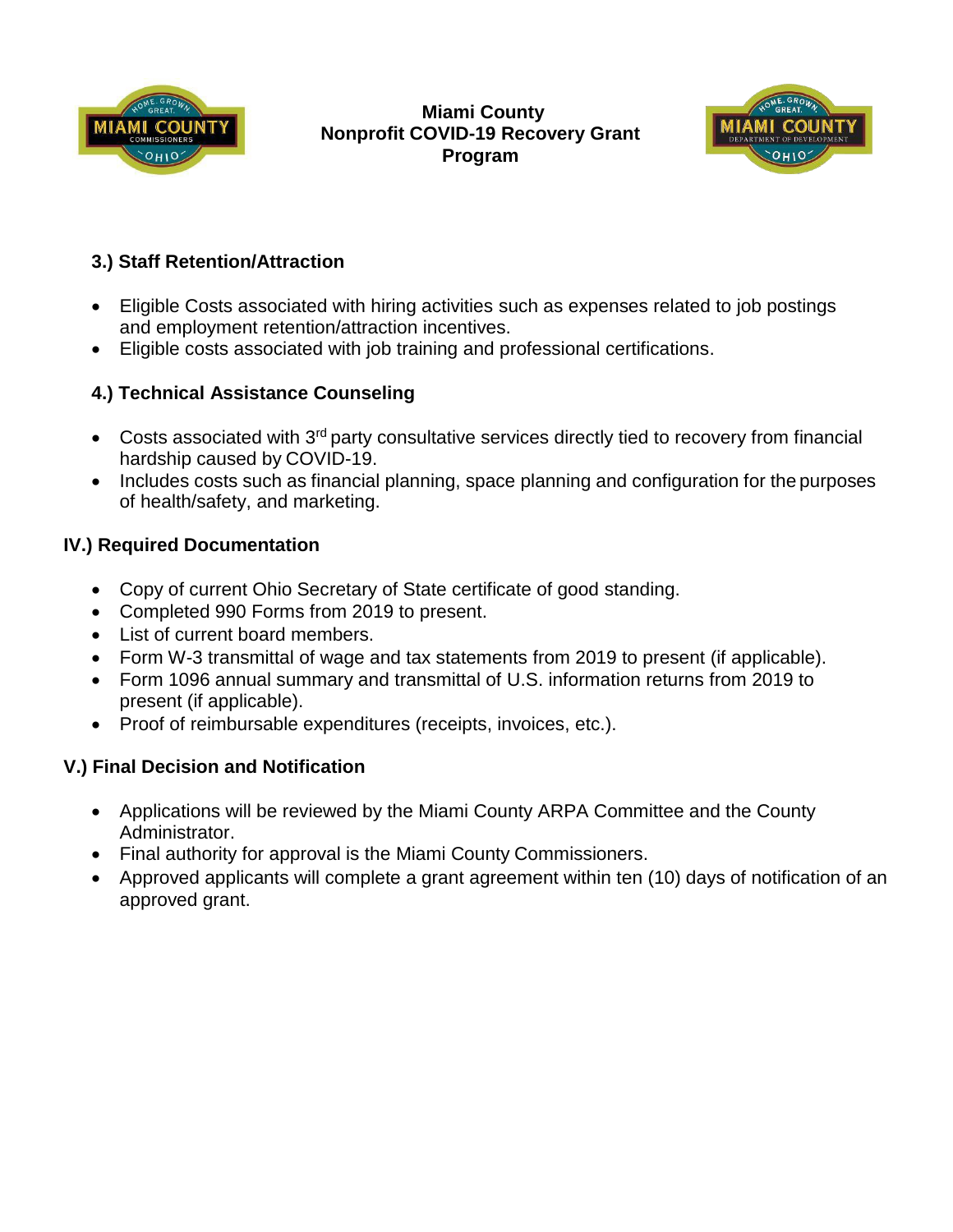

### **Miami County Nonprofit COVID-19 Recovery Grant Program**



# **3.) Staff Retention/Attraction**

- Eligible Costs associated with hiring activities such as expenses related to job postings and employment retention/attraction incentives.
- Eligible costs associated with job training and professional certifications.

# **4.) Technical Assistance Counseling**

- Costs associated with 3<sup>rd</sup> party consultative services directly tied to recovery from financial hardship caused by COVID-19.
- Includes costs such as financial planning, space planning and configuration for the purposes of health/safety, and marketing.

# **IV.) Required Documentation**

- Copy of current Ohio Secretary of State certificate of good standing.
- Completed 990 Forms from 2019 to present.
- List of current board members.
- Form W-3 transmittal of wage and tax statements from 2019 to present (if applicable).
- Form 1096 annual summary and transmittal of U.S. information returns from 2019 to present (if applicable).
- Proof of reimbursable expenditures (receipts, invoices, etc.).

# **V.) Final Decision and Notification**

- Applications will be reviewed by the Miami County ARPA Committee and the County Administrator.
- Final authority for approval is the Miami County Commissioners.
- Approved applicants will complete a grant agreement within ten (10) days of notification of an approved grant.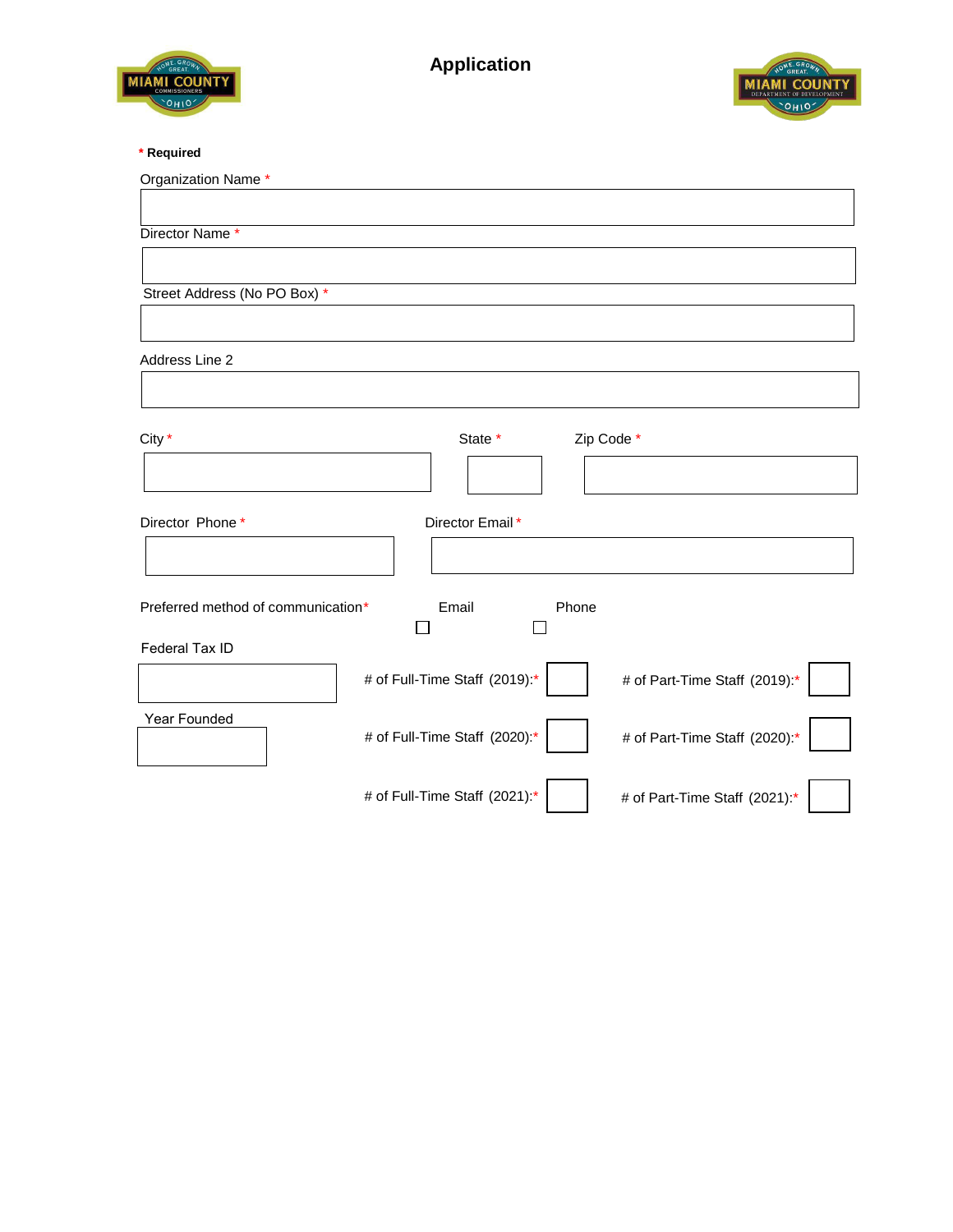



### **\* Required**

| Organization Name *                                            |  |  |  |
|----------------------------------------------------------------|--|--|--|
|                                                                |  |  |  |
| Director Name*                                                 |  |  |  |
|                                                                |  |  |  |
| Street Address (No PO Box) *                                   |  |  |  |
|                                                                |  |  |  |
|                                                                |  |  |  |
| Address Line 2                                                 |  |  |  |
|                                                                |  |  |  |
| City *<br>State *<br>Zip Code *                                |  |  |  |
|                                                                |  |  |  |
|                                                                |  |  |  |
|                                                                |  |  |  |
| Director Phone*<br>Director Email*                             |  |  |  |
|                                                                |  |  |  |
|                                                                |  |  |  |
| Preferred method of communication*<br>Email<br>Phone           |  |  |  |
| Federal Tax ID                                                 |  |  |  |
| # of Full-Time Staff (2019):*<br># of Part-Time Staff (2019):* |  |  |  |
|                                                                |  |  |  |
| Year Founded                                                   |  |  |  |
| # of Full-Time Staff (2020):*<br># of Part-Time Staff (2020):* |  |  |  |
|                                                                |  |  |  |
| # of Full-Time Staff (2021):*<br># of Part-Time Staff (2021):* |  |  |  |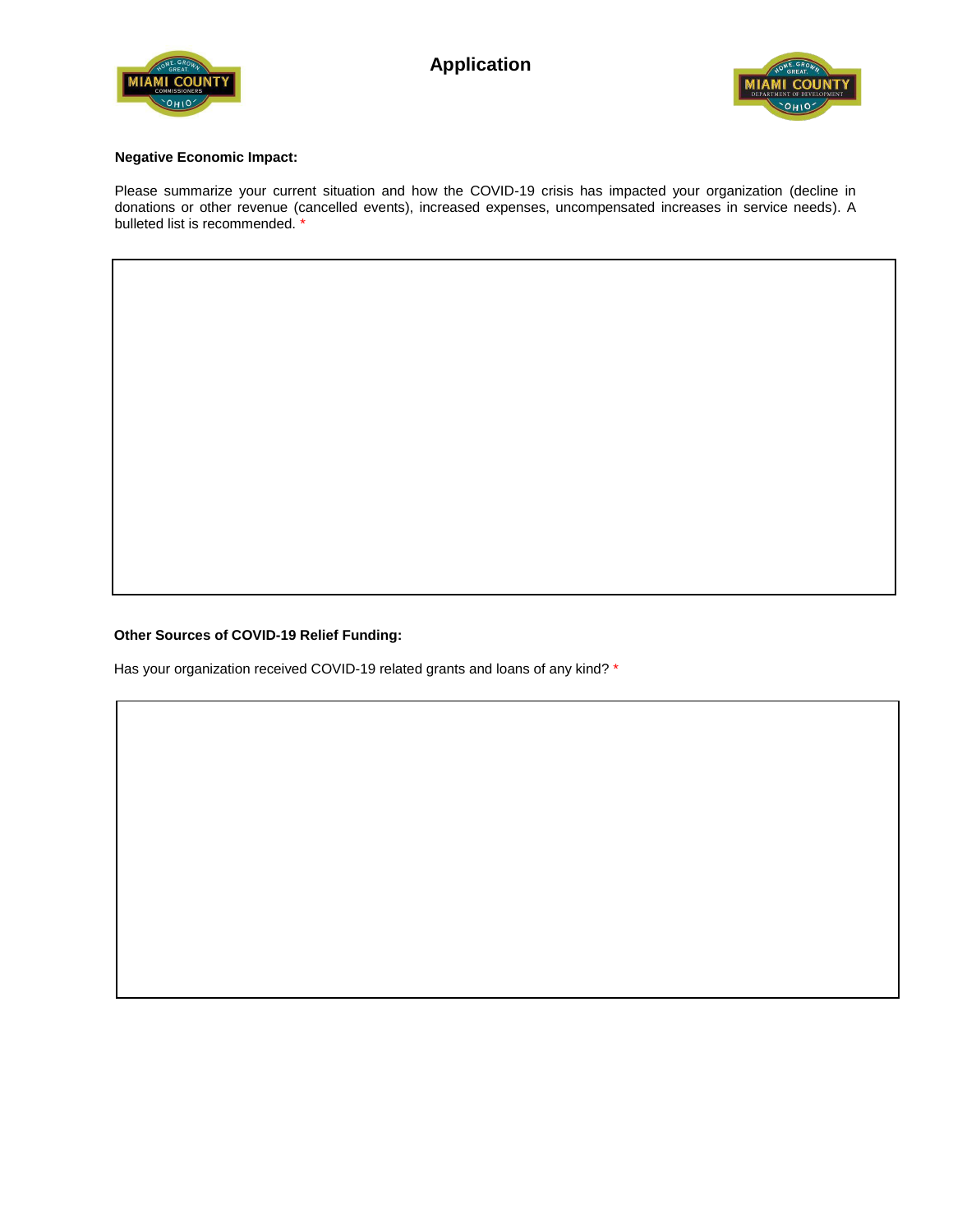



#### **Negative Economic Impact:**

Please summarize your current situation and how the COVID-19 crisis has impacted your organization (decline in donations or other revenue (cancelled events), increased expenses, uncompensated increases in service needs). A bulleted list is recommended.<sup>\*</sup>

#### **Other Sources of COVID-19 Relief Funding:**

Has your organization received COVID-19 related grants and loans of any kind? \*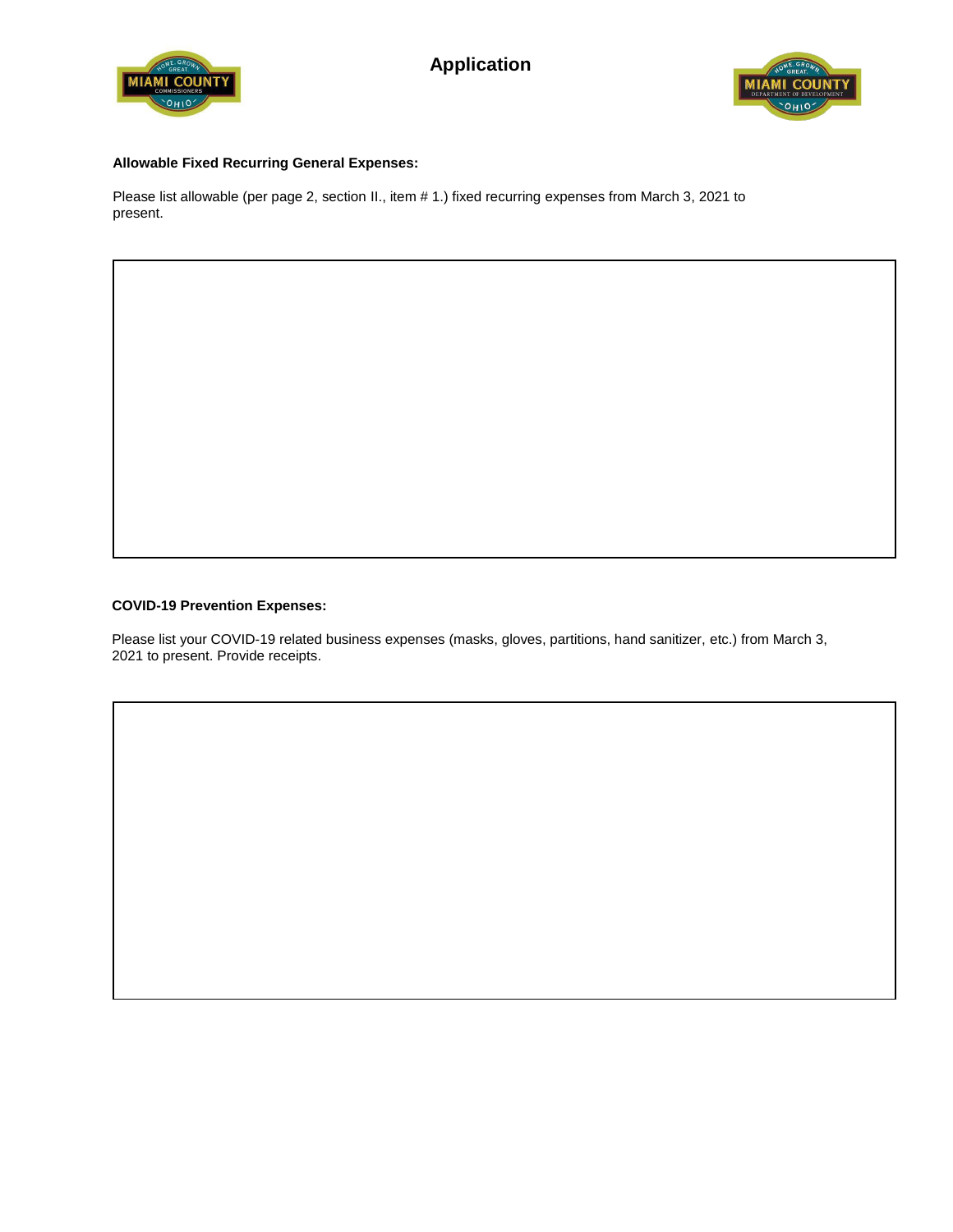



### **Allowable Fixed Recurring General Expenses:**

Please list allowable (per page 2, section II., item # 1.) fixed recurring expenses from March 3, 2021 to present.

#### **COVID-19 Prevention Expenses:**

Please list your COVID-19 related business expenses (masks, gloves, partitions, hand sanitizer, etc.) from March 3, 2021 to present. Provide receipts.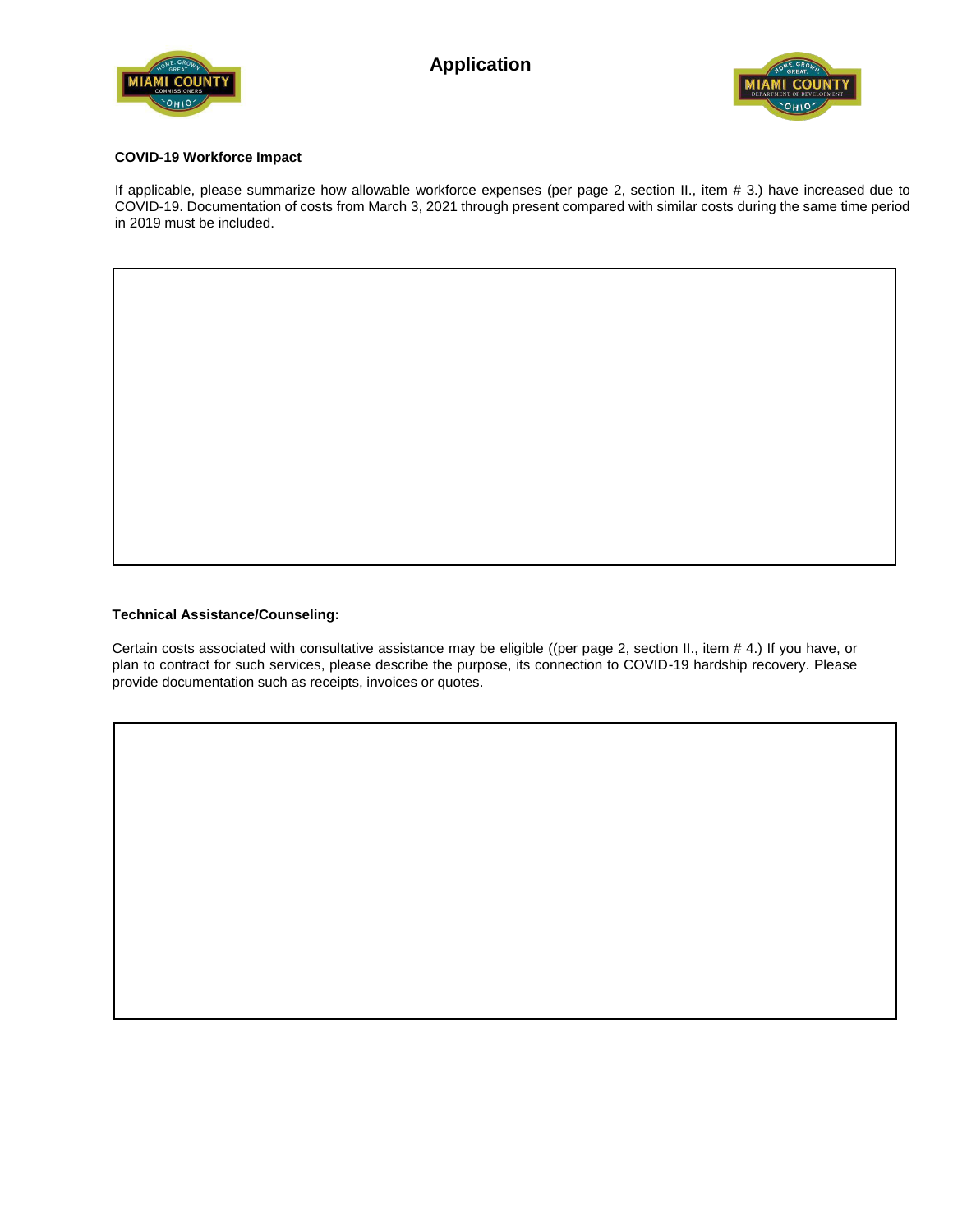



#### **COVID-19 Workforce Impact**

If applicable, please summarize how allowable workforce expenses (per page 2, section II., item # 3.) have increased due to COVID-19. Documentation of costs from March 3, 2021 through present compared with similar costs during the same time period in 2019 must be included.

#### **Technical Assistance/Counseling:**

Certain costs associated with consultative assistance may be eligible ((per page 2, section II., item # 4.) If you have, or plan to contract for such services, please describe the purpose, its connection to COVID-19 hardship recovery. Please provide documentation such as receipts, invoices or quotes.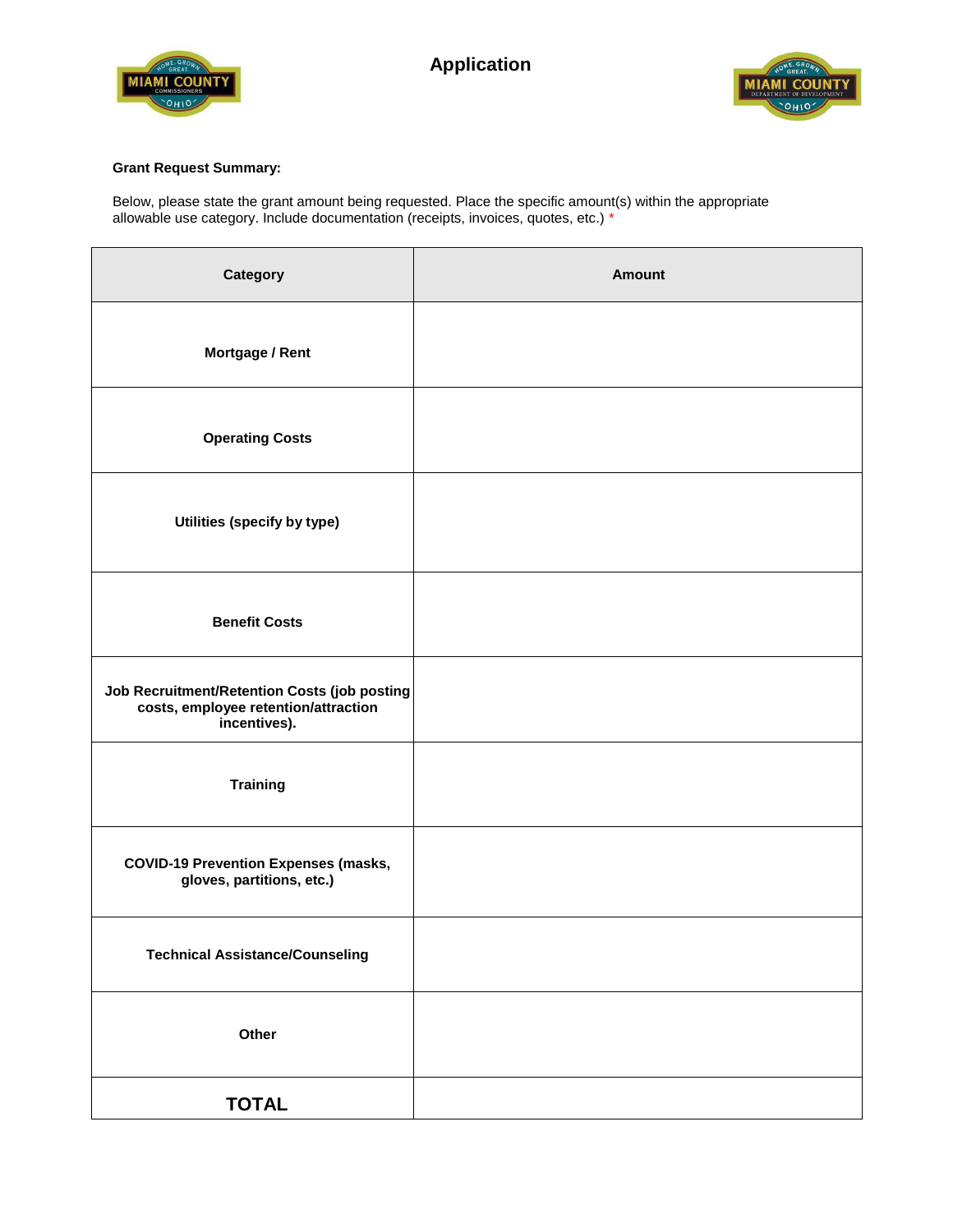



### **Grant Request Summary:**

Below, please state the grant amount being requested. Place the specific amount(s) within the appropriate allowable use category. Include documentation (receipts, invoices, quotes, etc.) \*

| Category                                                                                             | <b>Amount</b> |
|------------------------------------------------------------------------------------------------------|---------------|
| Mortgage / Rent                                                                                      |               |
| <b>Operating Costs</b>                                                                               |               |
| Utilities (specify by type)                                                                          |               |
| <b>Benefit Costs</b>                                                                                 |               |
| Job Recruitment/Retention Costs (job posting<br>costs, employee retention/attraction<br>incentives). |               |
| <b>Training</b>                                                                                      |               |
| <b>COVID-19 Prevention Expenses (masks,</b><br>gloves, partitions, etc.)                             |               |
| <b>Technical Assistance/Counseling</b>                                                               |               |
| Other                                                                                                |               |
| <b>TOTAL</b>                                                                                         |               |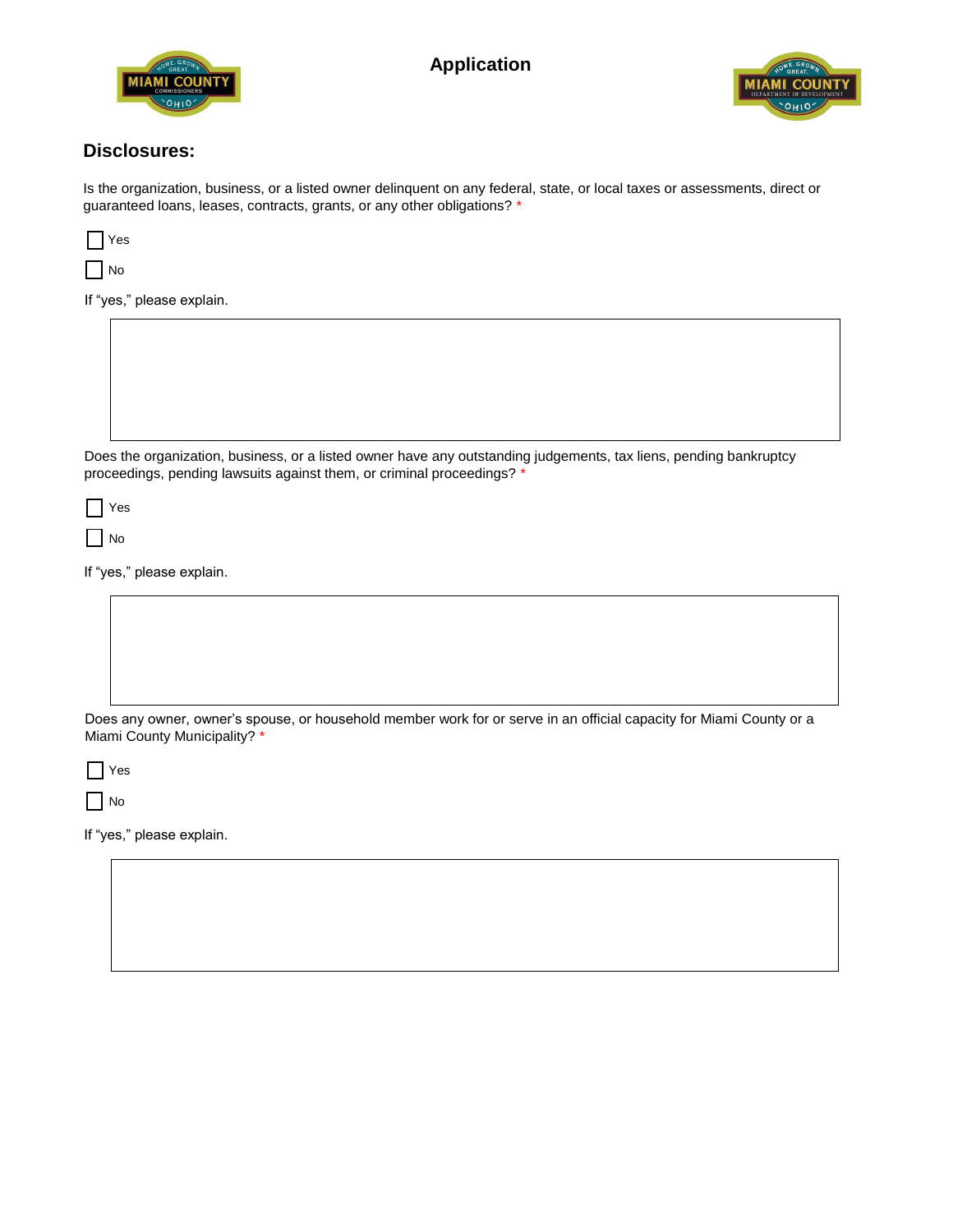



### **Disclosures:**

Is the organization, business, or a listed owner delinquent on any federal, state, or local taxes or assessments, direct or guaranteed loans, leases, contracts, grants, or any other obligations? \*

| ÷ |
|---|
|   |

If "yes," please explain.

Does the organization, business, or a listed owner have any outstanding judgements, tax liens, pending bankruptcy proceedings, pending lawsuits against them, or criminal proceedings? \*

Yes

 $\Box$  No

If "yes," please explain.

Does any owner, owner's spouse, or household member work for or serve in an official capacity for Miami County or a Miami County Municipality? \*

Yes

 $\Box$  No

If "yes," please explain.